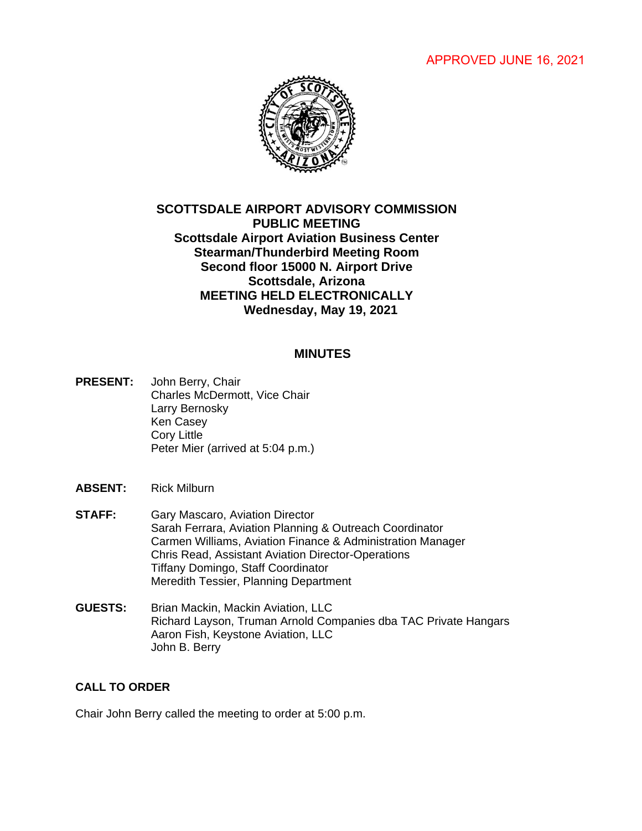APPROVED JUNE 16, 2021



# **SCOTTSDALE AIRPORT ADVISORY COMMISSION PUBLIC MEETING Scottsdale Airport Aviation Business Center Stearman/Thunderbird Meeting Room Second floor 15000 N. Airport Drive Scottsdale, Arizona MEETING HELD ELECTRONICALLY Wednesday, May 19, 2021**

#### **MINUTES**

- **PRESENT:** John Berry, Chair Charles McDermott, Vice Chair Larry Bernosky Ken Casey Cory Little Peter Mier (arrived at 5:04 p.m.)
- **ABSENT:** Rick Milburn
- **STAFF:** Gary Mascaro, Aviation Director Sarah Ferrara, Aviation Planning & Outreach Coordinator Carmen Williams, Aviation Finance & Administration Manager Chris Read, Assistant Aviation Director-Operations Tiffany Domingo, Staff Coordinator Meredith Tessier, Planning Department
- **GUESTS:** Brian Mackin, Mackin Aviation, LLC Richard Layson, Truman Arnold Companies dba TAC Private Hangars Aaron Fish, Keystone Aviation, LLC John B. Berry

## **CALL TO ORDER**

Chair John Berry called the meeting to order at 5:00 p.m.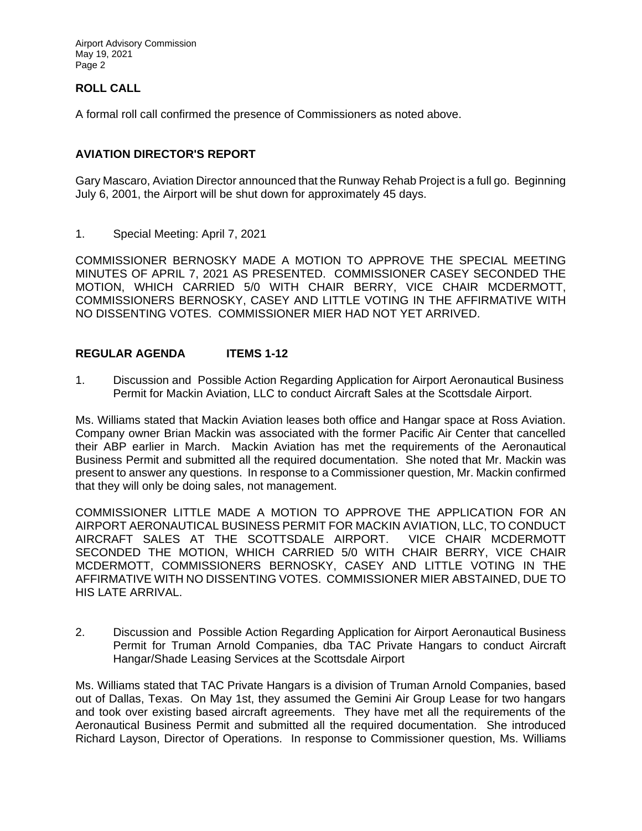### **ROLL CALL**

A formal roll call confirmed the presence of Commissioners as noted above.

#### **AVIATION DIRECTOR'S REPORT**

Gary Mascaro, Aviation Director announced that the Runway Rehab Project is a full go. Beginning July 6, 2001, the Airport will be shut down for approximately 45 days.

1. Special Meeting: April 7, 2021

COMMISSIONER BERNOSKY MADE A MOTION TO APPROVE THE SPECIAL MEETING MINUTES OF APRIL 7, 2021 AS PRESENTED. COMMISSIONER CASEY SECONDED THE MOTION, WHICH CARRIED 5/0 WITH CHAIR BERRY, VICE CHAIR MCDERMOTT, COMMISSIONERS BERNOSKY, CASEY AND LITTLE VOTING IN THE AFFIRMATIVE WITH NO DISSENTING VOTES. COMMISSIONER MIER HAD NOT YET ARRIVED.

#### **REGULAR AGENDA ITEMS 1-12**

1. Discussion and Possible Action Regarding Application for Airport Aeronautical Business Permit for Mackin Aviation, LLC to conduct Aircraft Sales at the Scottsdale Airport.

Ms. Williams stated that Mackin Aviation leases both office and Hangar space at Ross Aviation. Company owner Brian Mackin was associated with the former Pacific Air Center that cancelled their ABP earlier in March. Mackin Aviation has met the requirements of the Aeronautical Business Permit and submitted all the required documentation. She noted that Mr. Mackin was present to answer any questions. In response to a Commissioner question, Mr. Mackin confirmed that they will only be doing sales, not management.

COMMISSIONER LITTLE MADE A MOTION TO APPROVE THE APPLICATION FOR AN AIRPORT AERONAUTICAL BUSINESS PERMIT FOR MACKIN AVIATION, LLC, TO CONDUCT AIRCRAFT SALES AT THE SCOTTSDALE AIRPORT. VICE CHAIR MCDERMOTT SECONDED THE MOTION, WHICH CARRIED 5/0 WITH CHAIR BERRY, VICE CHAIR MCDERMOTT, COMMISSIONERS BERNOSKY, CASEY AND LITTLE VOTING IN THE AFFIRMATIVE WITH NO DISSENTING VOTES. COMMISSIONER MIER ABSTAINED, DUE TO HIS LATE ARRIVAL.

2. Discussion and Possible Action Regarding Application for Airport Aeronautical Business Permit for Truman Arnold Companies, dba TAC Private Hangars to conduct Aircraft Hangar/Shade Leasing Services at the Scottsdale Airport

Ms. Williams stated that TAC Private Hangars is a division of Truman Arnold Companies, based out of Dallas, Texas. On May 1st, they assumed the Gemini Air Group Lease for two hangars and took over existing based aircraft agreements. They have met all the requirements of the Aeronautical Business Permit and submitted all the required documentation. She introduced Richard Layson, Director of Operations. In response to Commissioner question, Ms. Williams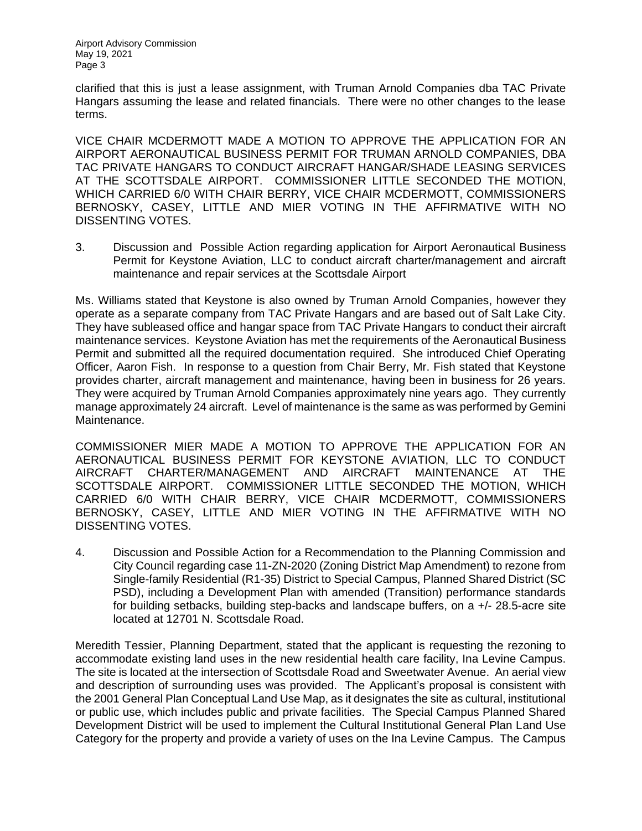clarified that this is just a lease assignment, with Truman Arnold Companies dba TAC Private Hangars assuming the lease and related financials. There were no other changes to the lease terms.

VICE CHAIR MCDERMOTT MADE A MOTION TO APPROVE THE APPLICATION FOR AN AIRPORT AERONAUTICAL BUSINESS PERMIT FOR TRUMAN ARNOLD COMPANIES, DBA TAC PRIVATE HANGARS TO CONDUCT AIRCRAFT HANGAR/SHADE LEASING SERVICES AT THE SCOTTSDALE AIRPORT. COMMISSIONER LITTLE SECONDED THE MOTION, WHICH CARRIED 6/0 WITH CHAIR BERRY, VICE CHAIR MCDERMOTT, COMMISSIONERS BERNOSKY, CASEY, LITTLE AND MIER VOTING IN THE AFFIRMATIVE WITH NO DISSENTING VOTES.

3. Discussion and Possible Action regarding application for Airport Aeronautical Business Permit for Keystone Aviation, LLC to conduct aircraft charter/management and aircraft maintenance and repair services at the Scottsdale Airport

Ms. Williams stated that Keystone is also owned by Truman Arnold Companies, however they operate as a separate company from TAC Private Hangars and are based out of Salt Lake City. They have subleased office and hangar space from TAC Private Hangars to conduct their aircraft maintenance services. Keystone Aviation has met the requirements of the Aeronautical Business Permit and submitted all the required documentation required. She introduced Chief Operating Officer, Aaron Fish. In response to a question from Chair Berry, Mr. Fish stated that Keystone provides charter, aircraft management and maintenance, having been in business for 26 years. They were acquired by Truman Arnold Companies approximately nine years ago. They currently manage approximately 24 aircraft. Level of maintenance is the same as was performed by Gemini Maintenance.

COMMISSIONER MIER MADE A MOTION TO APPROVE THE APPLICATION FOR AN AERONAUTICAL BUSINESS PERMIT FOR KEYSTONE AVIATION, LLC TO CONDUCT AIRCRAFT CHARTER/MANAGEMENT AND AIRCRAFT MAINTENANCE AT THE SCOTTSDALE AIRPORT. COMMISSIONER LITTLE SECONDED THE MOTION, WHICH CARRIED 6/0 WITH CHAIR BERRY, VICE CHAIR MCDERMOTT, COMMISSIONERS BERNOSKY, CASEY, LITTLE AND MIER VOTING IN THE AFFIRMATIVE WITH NO DISSENTING VOTES.

4. Discussion and Possible Action for a Recommendation to the Planning Commission and City Council regarding case 11-ZN-2020 (Zoning District Map Amendment) to rezone from Single-family Residential (R1-35) District to Special Campus, Planned Shared District (SC PSD), including a Development Plan with amended (Transition) performance standards for building setbacks, building step-backs and landscape buffers, on a +/- 28.5-acre site located at 12701 N. Scottsdale Road.

Meredith Tessier, Planning Department, stated that the applicant is requesting the rezoning to accommodate existing land uses in the new residential health care facility, Ina Levine Campus. The site is located at the intersection of Scottsdale Road and Sweetwater Avenue. An aerial view and description of surrounding uses was provided. The Applicant's proposal is consistent with the 2001 General Plan Conceptual Land Use Map, as it designates the site as cultural, institutional or public use, which includes public and private facilities. The Special Campus Planned Shared Development District will be used to implement the Cultural Institutional General Plan Land Use Category for the property and provide a variety of uses on the Ina Levine Campus. The Campus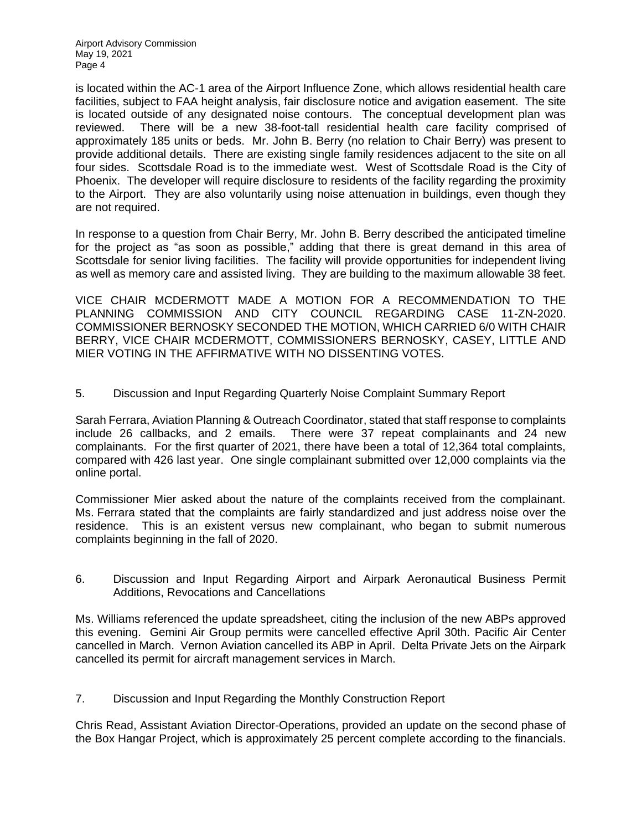is located within the AC-1 area of the Airport Influence Zone, which allows residential health care facilities, subject to FAA height analysis, fair disclosure notice and avigation easement. The site is located outside of any designated noise contours. The conceptual development plan was reviewed. There will be a new 38-foot-tall residential health care facility comprised of approximately 185 units or beds. Mr. John B. Berry (no relation to Chair Berry) was present to provide additional details. There are existing single family residences adjacent to the site on all four sides. Scottsdale Road is to the immediate west. West of Scottsdale Road is the City of Phoenix. The developer will require disclosure to residents of the facility regarding the proximity to the Airport. They are also voluntarily using noise attenuation in buildings, even though they are not required.

In response to a question from Chair Berry, Mr. John B. Berry described the anticipated timeline for the project as "as soon as possible," adding that there is great demand in this area of Scottsdale for senior living facilities. The facility will provide opportunities for independent living as well as memory care and assisted living. They are building to the maximum allowable 38 feet.

VICE CHAIR MCDERMOTT MADE A MOTION FOR A RECOMMENDATION TO THE PLANNING COMMISSION AND CITY COUNCIL REGARDING CASE 11-ZN-2020. COMMISSIONER BERNOSKY SECONDED THE MOTION, WHICH CARRIED 6/0 WITH CHAIR BERRY, VICE CHAIR MCDERMOTT, COMMISSIONERS BERNOSKY, CASEY, LITTLE AND MIER VOTING IN THE AFFIRMATIVE WITH NO DISSENTING VOTES.

5. Discussion and Input Regarding Quarterly Noise Complaint Summary Report

Sarah Ferrara, Aviation Planning & Outreach Coordinator, stated that staff response to complaints include 26 callbacks, and 2 emails. There were 37 repeat complainants and 24 new complainants. For the first quarter of 2021, there have been a total of 12,364 total complaints, compared with 426 last year. One single complainant submitted over 12,000 complaints via the online portal.

Commissioner Mier asked about the nature of the complaints received from the complainant. Ms. Ferrara stated that the complaints are fairly standardized and just address noise over the residence. This is an existent versus new complainant, who began to submit numerous complaints beginning in the fall of 2020.

6. Discussion and Input Regarding Airport and Airpark Aeronautical Business Permit Additions, Revocations and Cancellations

Ms. Williams referenced the update spreadsheet, citing the inclusion of the new ABPs approved this evening. Gemini Air Group permits were cancelled effective April 30th. Pacific Air Center cancelled in March. Vernon Aviation cancelled its ABP in April. Delta Private Jets on the Airpark cancelled its permit for aircraft management services in March.

7. Discussion and Input Regarding the Monthly Construction Report

Chris Read, Assistant Aviation Director-Operations, provided an update on the second phase of the Box Hangar Project, which is approximately 25 percent complete according to the financials.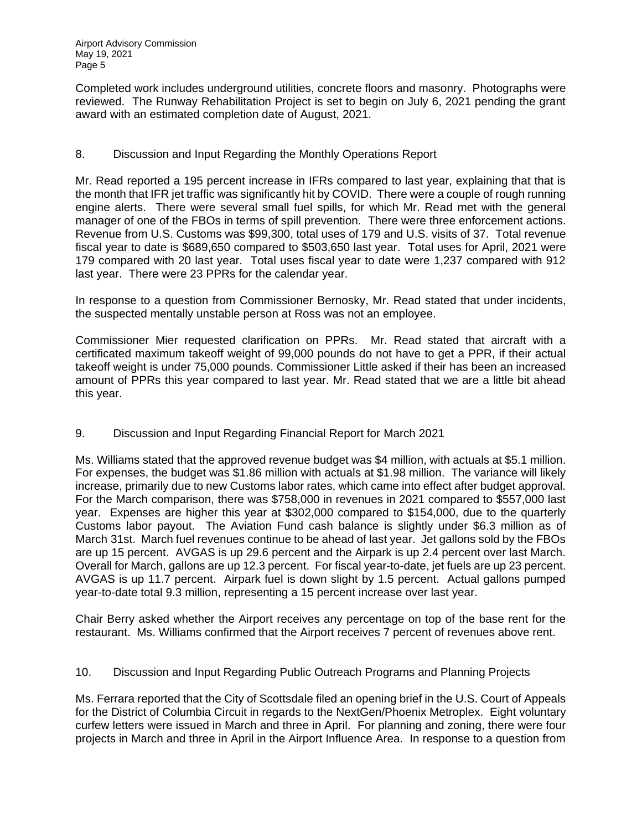Completed work includes underground utilities, concrete floors and masonry. Photographs were reviewed. The Runway Rehabilitation Project is set to begin on July 6, 2021 pending the grant award with an estimated completion date of August, 2021.

### 8. Discussion and Input Regarding the Monthly Operations Report

Mr. Read reported a 195 percent increase in IFRs compared to last year, explaining that that is the month that IFR jet traffic was significantly hit by COVID. There were a couple of rough running engine alerts. There were several small fuel spills, for which Mr. Read met with the general manager of one of the FBOs in terms of spill prevention. There were three enforcement actions. Revenue from U.S. Customs was \$99,300, total uses of 179 and U.S. visits of 37. Total revenue fiscal year to date is \$689,650 compared to \$503,650 last year. Total uses for April, 2021 were 179 compared with 20 last year. Total uses fiscal year to date were 1,237 compared with 912 last year. There were 23 PPRs for the calendar year.

In response to a question from Commissioner Bernosky, Mr. Read stated that under incidents, the suspected mentally unstable person at Ross was not an employee.

Commissioner Mier requested clarification on PPRs. Mr. Read stated that aircraft with a certificated maximum takeoff weight of 99,000 pounds do not have to get a PPR, if their actual takeoff weight is under 75,000 pounds. Commissioner Little asked if their has been an increased amount of PPRs this year compared to last year. Mr. Read stated that we are a little bit ahead this year.

### 9. Discussion and Input Regarding Financial Report for March 2021

Ms. Williams stated that the approved revenue budget was \$4 million, with actuals at \$5.1 million. For expenses, the budget was \$1.86 million with actuals at \$1.98 million. The variance will likely increase, primarily due to new Customs labor rates, which came into effect after budget approval. For the March comparison, there was \$758,000 in revenues in 2021 compared to \$557,000 last year. Expenses are higher this year at \$302,000 compared to \$154,000, due to the quarterly Customs labor payout. The Aviation Fund cash balance is slightly under \$6.3 million as of March 31st. March fuel revenues continue to be ahead of last year. Jet gallons sold by the FBOs are up 15 percent. AVGAS is up 29.6 percent and the Airpark is up 2.4 percent over last March. Overall for March, gallons are up 12.3 percent. For fiscal year-to-date, jet fuels are up 23 percent. AVGAS is up 11.7 percent. Airpark fuel is down slight by 1.5 percent. Actual gallons pumped year-to-date total 9.3 million, representing a 15 percent increase over last year.

Chair Berry asked whether the Airport receives any percentage on top of the base rent for the restaurant. Ms. Williams confirmed that the Airport receives 7 percent of revenues above rent.

#### 10. Discussion and Input Regarding Public Outreach Programs and Planning Projects

Ms. Ferrara reported that the City of Scottsdale filed an opening brief in the U.S. Court of Appeals for the District of Columbia Circuit in regards to the NextGen/Phoenix Metroplex. Eight voluntary curfew letters were issued in March and three in April. For planning and zoning, there were four projects in March and three in April in the Airport Influence Area. In response to a question from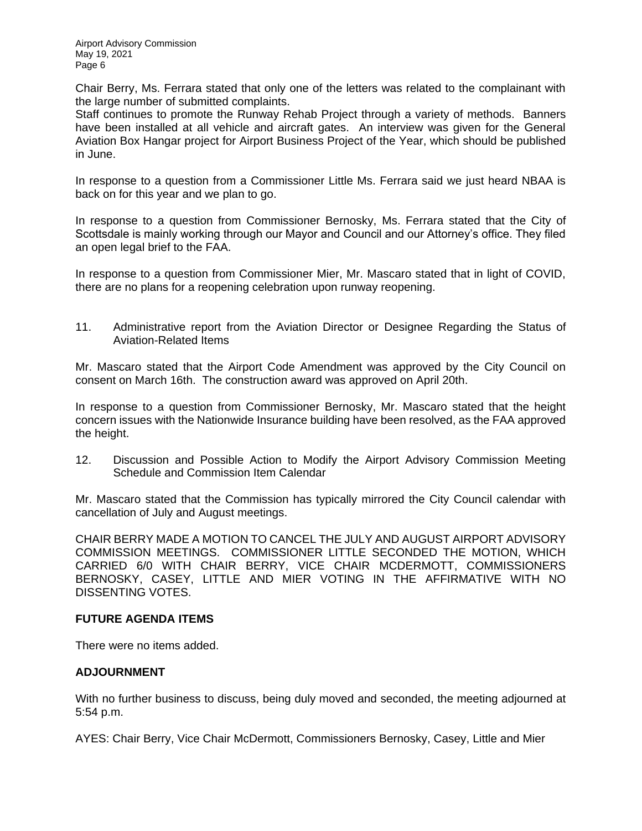Chair Berry, Ms. Ferrara stated that only one of the letters was related to the complainant with the large number of submitted complaints.

Staff continues to promote the Runway Rehab Project through a variety of methods. Banners have been installed at all vehicle and aircraft gates. An interview was given for the General Aviation Box Hangar project for Airport Business Project of the Year, which should be published in June.

In response to a question from a Commissioner Little Ms. Ferrara said we just heard NBAA is back on for this year and we plan to go.

In response to a question from Commissioner Bernosky, Ms. Ferrara stated that the City of Scottsdale is mainly working through our Mayor and Council and our Attorney's office. They filed an open legal brief to the FAA.

In response to a question from Commissioner Mier, Mr. Mascaro stated that in light of COVID, there are no plans for a reopening celebration upon runway reopening.

11. Administrative report from the Aviation Director or Designee Regarding the Status of Aviation-Related Items

Mr. Mascaro stated that the Airport Code Amendment was approved by the City Council on consent on March 16th. The construction award was approved on April 20th.

In response to a question from Commissioner Bernosky, Mr. Mascaro stated that the height concern issues with the Nationwide Insurance building have been resolved, as the FAA approved the height.

12. Discussion and Possible Action to Modify the Airport Advisory Commission Meeting Schedule and Commission Item Calendar

Mr. Mascaro stated that the Commission has typically mirrored the City Council calendar with cancellation of July and August meetings.

CHAIR BERRY MADE A MOTION TO CANCEL THE JULY AND AUGUST AIRPORT ADVISORY COMMISSION MEETINGS. COMMISSIONER LITTLE SECONDED THE MOTION, WHICH CARRIED 6/0 WITH CHAIR BERRY, VICE CHAIR MCDERMOTT, COMMISSIONERS BERNOSKY, CASEY, LITTLE AND MIER VOTING IN THE AFFIRMATIVE WITH NO DISSENTING VOTES.

### **FUTURE AGENDA ITEMS**

There were no items added.

### **ADJOURNMENT**

With no further business to discuss, being duly moved and seconded, the meeting adjourned at 5:54 p.m.

AYES: Chair Berry, Vice Chair McDermott, Commissioners Bernosky, Casey, Little and Mier